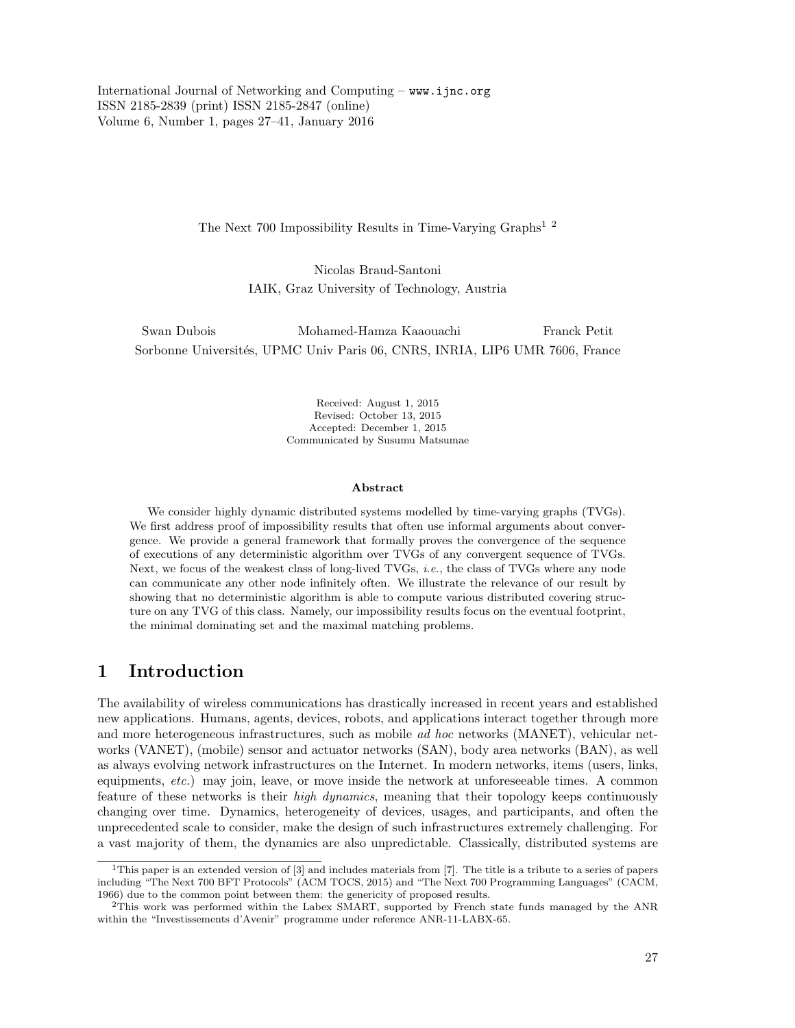International Journal of Networking and Computing – www.ijnc.org ISSN 2185-2839 (print) ISSN 2185-2847 (online) Volume 6, Number 1, pages 27–41, January 2016

The Next 700 Impossibility Results in Time-Varying Graphs<sup>1</sup><sup>2</sup>

Nicolas Braud-Santoni IAIK, Graz University of Technology, Austria

Swan Dubois Mohamed-Hamza Kaaouachi Franck Petit Sorbonne Universités, UPMC Univ Paris 06, CNRS, INRIA, LIP6 UMR 7606, France

> Received: August 1, 2015 Revised: October 13, 2015 Accepted: December 1, 2015 Communicated by Susumu Matsumae

#### Abstract

We consider highly dynamic distributed systems modelled by time-varying graphs (TVGs). We first address proof of impossibility results that often use informal arguments about convergence. We provide a general framework that formally proves the convergence of the sequence of executions of any deterministic algorithm over TVGs of any convergent sequence of TVGs. Next, we focus of the weakest class of long-lived TVGs, *i.e.*, the class of TVGs where any node can communicate any other node infinitely often. We illustrate the relevance of our result by showing that no deterministic algorithm is able to compute various distributed covering structure on any TVG of this class. Namely, our impossibility results focus on the eventual footprint, the minimal dominating set and the maximal matching problems.

# 1 Introduction

The availability of wireless communications has drastically increased in recent years and established new applications. Humans, agents, devices, robots, and applications interact together through more and more heterogeneous infrastructures, such as mobile ad hoc networks (MANET), vehicular networks (VANET), (mobile) sensor and actuator networks (SAN), body area networks (BAN), as well as always evolving network infrastructures on the Internet. In modern networks, items (users, links, equipments, *etc.*) may join, leave, or move inside the network at unforeseeable times. A common feature of these networks is their high dynamics, meaning that their topology keeps continuously changing over time. Dynamics, heterogeneity of devices, usages, and participants, and often the unprecedented scale to consider, make the design of such infrastructures extremely challenging. For a vast majority of them, the dynamics are also unpredictable. Classically, distributed systems are

<sup>&</sup>lt;sup>1</sup>This paper is an extended version of  $\lceil 3 \rceil$  and includes materials from  $\lceil 7 \rceil$ . The title is a tribute to a series of papers including "The Next 700 BFT Protocols" (ACM TOCS, 2015) and "The Next 700 Programming Languages" (CACM, 1966) due to the common point between them: the genericity of proposed results.

<sup>2</sup>This work was performed within the Labex SMART, supported by French state funds managed by the ANR within the "Investissements d'Avenir" programme under reference ANR-11-LABX-65.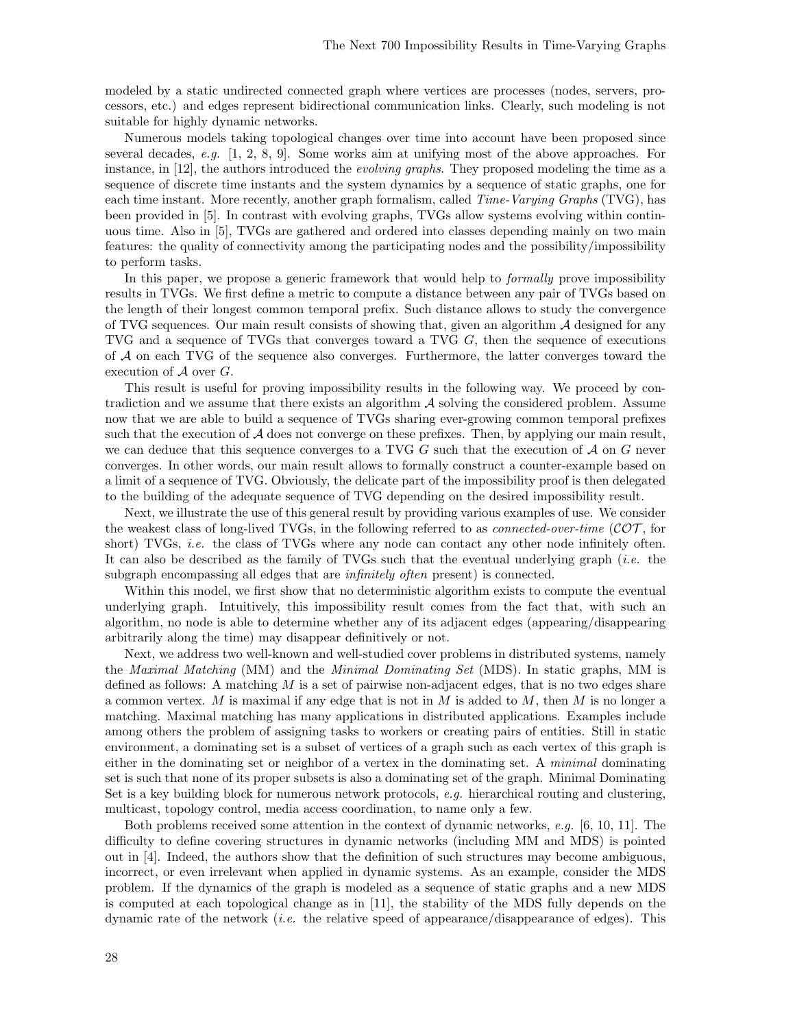modeled by a static undirected connected graph where vertices are processes (nodes, servers, processors, etc.) and edges represent bidirectional communication links. Clearly, such modeling is not suitable for highly dynamic networks.

Numerous models taking topological changes over time into account have been proposed since several decades, e.g.  $[1, 2, 8, 9]$ . Some works aim at unifying most of the above approaches. For instance, in [12], the authors introduced the *evolving graphs*. They proposed modeling the time as a sequence of discrete time instants and the system dynamics by a sequence of static graphs, one for each time instant. More recently, another graph formalism, called *Time-Varying Graphs* (TVG), has been provided in [5]. In contrast with evolving graphs, TVGs allow systems evolving within continuous time. Also in [5], TVGs are gathered and ordered into classes depending mainly on two main features: the quality of connectivity among the participating nodes and the possibility/impossibility to perform tasks.

In this paper, we propose a generic framework that would help to *formally* prove impossibility results in TVGs. We first define a metric to compute a distance between any pair of TVGs based on the length of their longest common temporal prefix. Such distance allows to study the convergence of TVG sequences. Our main result consists of showing that, given an algorithm  $A$  designed for any TVG and a sequence of TVGs that converges toward a TVG G, then the sequence of executions of A on each TVG of the sequence also converges. Furthermore, the latter converges toward the execution of  $A$  over  $G$ .

This result is useful for proving impossibility results in the following way. We proceed by contradiction and we assume that there exists an algorithm  $A$  solving the considered problem. Assume now that we are able to build a sequence of TVGs sharing ever-growing common temporal prefixes such that the execution of  $A$  does not converge on these prefixes. Then, by applying our main result, we can deduce that this sequence converges to a TVG  $G$  such that the execution of  $A$  on  $G$  never converges. In other words, our main result allows to formally construct a counter-example based on a limit of a sequence of TVG. Obviously, the delicate part of the impossibility proof is then delegated to the building of the adequate sequence of TVG depending on the desired impossibility result.

Next, we illustrate the use of this general result by providing various examples of use. We consider the weakest class of long-lived TVGs, in the following referred to as *connected-over-time* ( $\mathcal{COT}$ , for short) TVGs, *i.e.* the class of TVGs where any node can contact any other node infinitely often. It can also be described as the family of TVGs such that the eventual underlying graph (i.e. the subgraph encompassing all edges that are infinitely often present) is connected.

Within this model, we first show that no deterministic algorithm exists to compute the eventual underlying graph. Intuitively, this impossibility result comes from the fact that, with such an algorithm, no node is able to determine whether any of its adjacent edges (appearing/disappearing arbitrarily along the time) may disappear definitively or not.

Next, we address two well-known and well-studied cover problems in distributed systems, namely the Maximal Matching (MM) and the Minimal Dominating Set (MDS). In static graphs, MM is defined as follows: A matching  $M$  is a set of pairwise non-adjacent edges, that is no two edges share a common vertex. M is maximal if any edge that is not in  $M$  is added to  $M$ , then  $M$  is no longer a matching. Maximal matching has many applications in distributed applications. Examples include among others the problem of assigning tasks to workers or creating pairs of entities. Still in static environment, a dominating set is a subset of vertices of a graph such as each vertex of this graph is either in the dominating set or neighbor of a vertex in the dominating set. A minimal dominating set is such that none of its proper subsets is also a dominating set of the graph. Minimal Dominating Set is a key building block for numerous network protocols, e.g. hierarchical routing and clustering, multicast, topology control, media access coordination, to name only a few.

Both problems received some attention in the context of dynamic networks, e.g. [6, 10, 11]. The difficulty to define covering structures in dynamic networks (including MM and MDS) is pointed out in [4]. Indeed, the authors show that the definition of such structures may become ambiguous, incorrect, or even irrelevant when applied in dynamic systems. As an example, consider the MDS problem. If the dynamics of the graph is modeled as a sequence of static graphs and a new MDS is computed at each topological change as in [11], the stability of the MDS fully depends on the dynamic rate of the network (*i.e.* the relative speed of appearance/disappearance of edges). This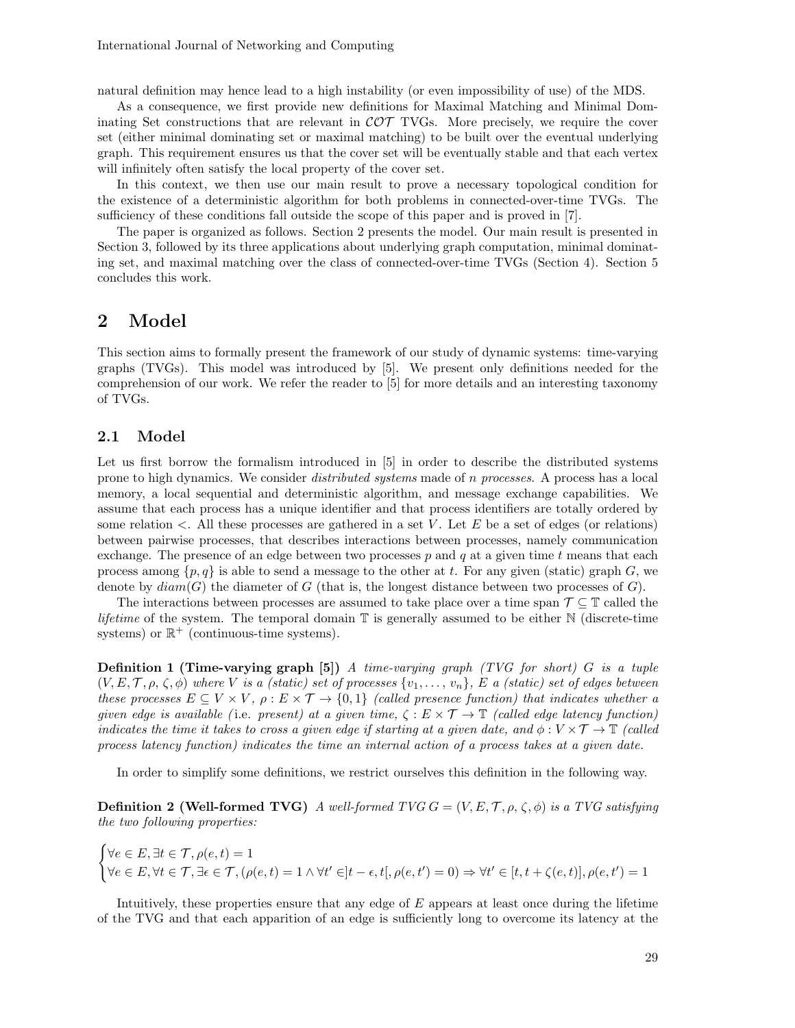natural definition may hence lead to a high instability (or even impossibility of use) of the MDS.

As a consequence, we first provide new definitions for Maximal Matching and Minimal Dominating Set constructions that are relevant in  $\mathcal{COT}$  TVGs. More precisely, we require the cover set (either minimal dominating set or maximal matching) to be built over the eventual underlying graph. This requirement ensures us that the cover set will be eventually stable and that each vertex will infinitely often satisfy the local property of the cover set.

In this context, we then use our main result to prove a necessary topological condition for the existence of a deterministic algorithm for both problems in connected-over-time TVGs. The sufficiency of these conditions fall outside the scope of this paper and is proved in [7].

The paper is organized as follows. Section 2 presents the model. Our main result is presented in Section 3, followed by its three applications about underlying graph computation, minimal dominating set, and maximal matching over the class of connected-over-time TVGs (Section 4). Section 5 concludes this work.

# 2 Model

This section aims to formally present the framework of our study of dynamic systems: time-varying graphs (TVGs). This model was introduced by [5]. We present only definitions needed for the comprehension of our work. We refer the reader to [5] for more details and an interesting taxonomy of TVGs.

### 2.1 Model

Let us first borrow the formalism introduced in [5] in order to describe the distributed systems prone to high dynamics. We consider distributed systems made of n processes. A process has a local memory, a local sequential and deterministic algorithm, and message exchange capabilities. We assume that each process has a unique identifier and that process identifiers are totally ordered by some relation  $\lt$ . All these processes are gathered in a set V. Let E be a set of edges (or relations) between pairwise processes, that describes interactions between processes, namely communication exchange. The presence of an edge between two processes  $p$  and  $q$  at a given time  $t$  means that each process among  $\{p, q\}$  is able to send a message to the other at t. For any given (static) graph G, we denote by  $diam(G)$  the diameter of G (that is, the longest distance between two processes of G).

The interactions between processes are assumed to take place over a time span  $\mathcal{T} \subseteq \mathbb{T}$  called the *lifetime* of the system. The temporal domain  $\mathbb T$  is generally assumed to be either  $\mathbb N$  (discrete-time systems) or  $\mathbb{R}^+$  (continuous-time systems).

**Definition 1 (Time-varying graph [5])** A time-varying graph (TVG for short) G is a tuple  $(V, E, T, \rho, \zeta, \phi)$  where V is a (static) set of processes  $\{v_1, \ldots, v_n\}$ , E a (static) set of edges between these processes  $E \subseteq V \times V$ ,  $\rho : E \times T \to \{0,1\}$  (called presence function) that indicates whether a given edge is available (i.e. present) at a given time,  $\zeta : E \times \mathcal{T} \to \mathbb{T}$  (called edge latency function) indicates the time it takes to cross a given edge if starting at a given date, and  $\phi: V \times \mathcal{T} \to \mathbb{T}$  (called process latency function) indicates the time an internal action of a process takes at a given date.

In order to simplify some definitions, we restrict ourselves this definition in the following way.

**Definition 2 (Well-formed TVG)** A well-formed TVG  $G = (V, E, T, \rho, \zeta, \phi)$  is a TVG satisfying the two following properties:

$$
\begin{cases}\n\forall e \in E, \exists t \in \mathcal{T}, \rho(e, t) = 1 \\
\forall e \in E, \forall t \in \mathcal{T}, \exists \epsilon \in \mathcal{T}, (\rho(e, t) = 1 \land \forall t' \in ]t - \epsilon, t[, \rho(e, t') = 0) \Rightarrow \forall t' \in [t, t + \zeta(e, t)], \rho(e, t') = 1\n\end{cases}
$$

Intuitively, these properties ensure that any edge of  $E$  appears at least once during the lifetime of the TVG and that each apparition of an edge is sufficiently long to overcome its latency at the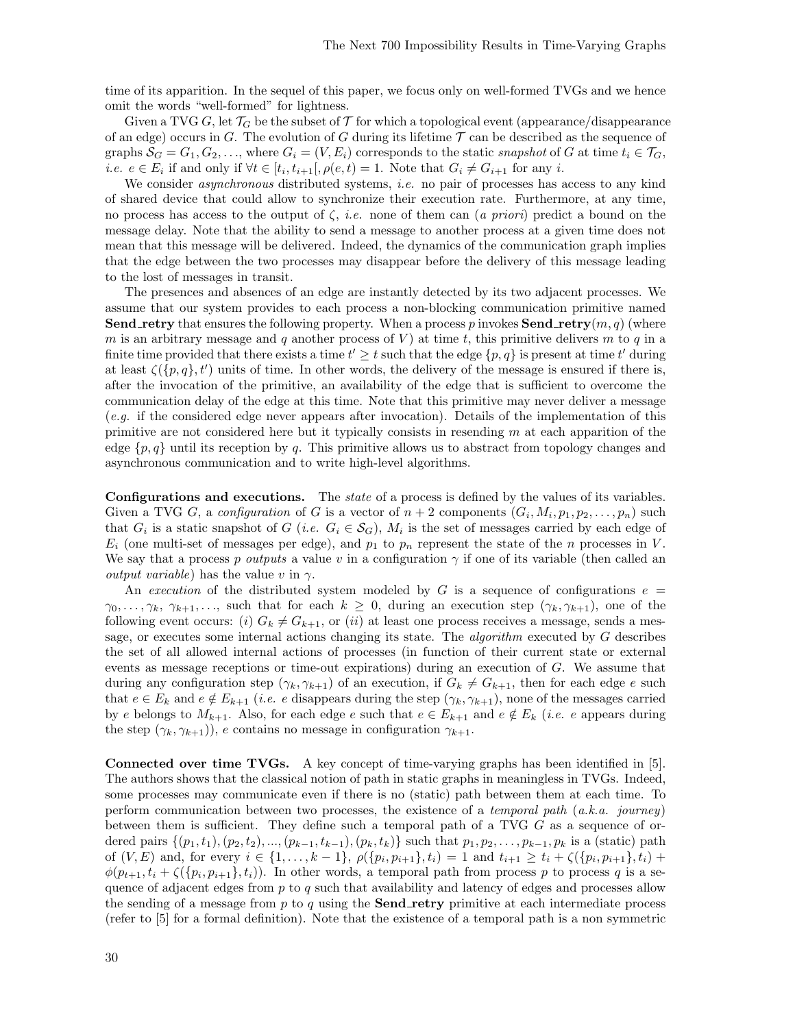time of its apparition. In the sequel of this paper, we focus only on well-formed TVGs and we hence omit the words "well-formed" for lightness.

Given a TVG G, let  $\mathcal{T}_G$  be the subset of T for which a topological event (appearance/disappearance of an edge) occurs in G. The evolution of G during its lifetime  $\mathcal T$  can be described as the sequence of graphs  $S_G = G_1, G_2, \ldots$ , where  $G_i = (V, E_i)$  corresponds to the static snapshot of G at time  $t_i \in \mathcal{T}_G$ , *i.e.*  $e \in E_i$  if and only if  $\forall t \in [t_i, t_{i+1}], \rho(e, t) = 1$ . Note that  $G_i \neq G_{i+1}$  for any *i*.

We consider *asynchronous* distributed systems, *i.e.* no pair of processes has access to any kind of shared device that could allow to synchronize their execution rate. Furthermore, at any time, no process has access to the output of  $\zeta$ , *i.e.* none of them can (a priori) predict a bound on the message delay. Note that the ability to send a message to another process at a given time does not mean that this message will be delivered. Indeed, the dynamics of the communication graph implies that the edge between the two processes may disappear before the delivery of this message leading to the lost of messages in transit.

The presences and absences of an edge are instantly detected by its two adjacent processes. We assume that our system provides to each process a non-blocking communication primitive named **Send\_retry** that ensures the following property. When a process p invokes **Send\_retry** $(m, q)$  (where m is an arbitrary message and q another process of V) at time t, this primitive delivers m to q in a finite time provided that there exists a time  $t' \geq t$  such that the edge  $\{p, q\}$  is present at time  $t'$  during at least  $\zeta(\lbrace p, q \rbrace, t')$  units of time. In other words, the delivery of the message is ensured if there is, after the invocation of the primitive, an availability of the edge that is sufficient to overcome the communication delay of the edge at this time. Note that this primitive may never deliver a message  $(e,q)$  if the considered edge never appears after invocation). Details of the implementation of this primitive are not considered here but it typically consists in resending  $m$  at each apparition of the edge  $\{p, q\}$  until its reception by q. This primitive allows us to abstract from topology changes and asynchronous communication and to write high-level algorithms.

Configurations and executions. The *state* of a process is defined by the values of its variables. Given a TVG G, a configuration of G is a vector of  $n+2$  components  $(G_i, M_i, p_1, p_2, \ldots, p_n)$  such that  $G_i$  is a static snapshot of  $G$  (*i.e.*  $G_i \in S_G$ ),  $M_i$  is the set of messages carried by each edge of  $E_i$  (one multi-set of messages per edge), and  $p_1$  to  $p_n$  represent the state of the n processes in V. We say that a process p outputs a value v in a configuration  $\gamma$  if one of its variable (then called an *output variable*) has the value v in  $\gamma$ .

An execution of the distributed system modeled by G is a sequence of configurations  $e =$  $\gamma_0, \ldots, \gamma_k, \gamma_{k+1}, \ldots$ , such that for each  $k \geq 0$ , during an execution step  $(\gamma_k, \gamma_{k+1})$ , one of the following event occurs: (i)  $G_k \neq G_{k+1}$ , or (ii) at least one process receives a message, sends a message, or executes some internal actions changing its state. The *algorithm* executed by G describes the set of all allowed internal actions of processes (in function of their current state or external events as message receptions or time-out expirations) during an execution of G. We assume that during any configuration step  $(\gamma_k, \gamma_{k+1})$  of an execution, if  $G_k \neq G_{k+1}$ , then for each edge e such that  $e \in E_k$  and  $e \notin E_{k+1}$  (*i.e.* e disappears during the step  $(\gamma_k, \gamma_{k+1})$ , none of the messages carried by e belongs to  $M_{k+1}$ . Also, for each edge e such that  $e \in E_{k+1}$  and  $e \notin E_k$  (*i.e. e* appears during the step  $(\gamma_k, \gamma_{k+1})$ , e contains no message in configuration  $\gamma_{k+1}$ .

Connected over time TVGs. A key concept of time-varying graphs has been identified in [5]. The authors shows that the classical notion of path in static graphs in meaningless in TVGs. Indeed, some processes may communicate even if there is no (static) path between them at each time. To perform communication between two processes, the existence of a temporal path  $(a.k.a.$  journey) between them is sufficient. They define such a temporal path of a TVG  $G$  as a sequence of ordered pairs  $\{(p_1, t_1), (p_2, t_2), ..., (p_{k-1}, t_{k-1}), (p_k, t_k)\}\$  such that  $p_1, p_2, ..., p_{k-1}, p_k$  is a (static) path of  $(V, E)$  and, for every  $i \in \{1, ..., k-1\}$ ,  $\rho(\{p_i, p_{i+1}\}, t_i) = 1$  and  $t_{i+1} \ge t_i + \zeta(\{p_i, p_{i+1}\}, t_i) +$  $\phi(p_{t+1}, t_i + \zeta(\{p_i, p_{i+1}\}, t_i))$ . In other words, a temporal path from process p to process q is a sequence of adjacent edges from  $p$  to  $q$  such that availability and latency of edges and processes allow the sending of a message from  $p$  to  $q$  using the **Send\_retry** primitive at each intermediate process (refer to [5] for a formal definition). Note that the existence of a temporal path is a non symmetric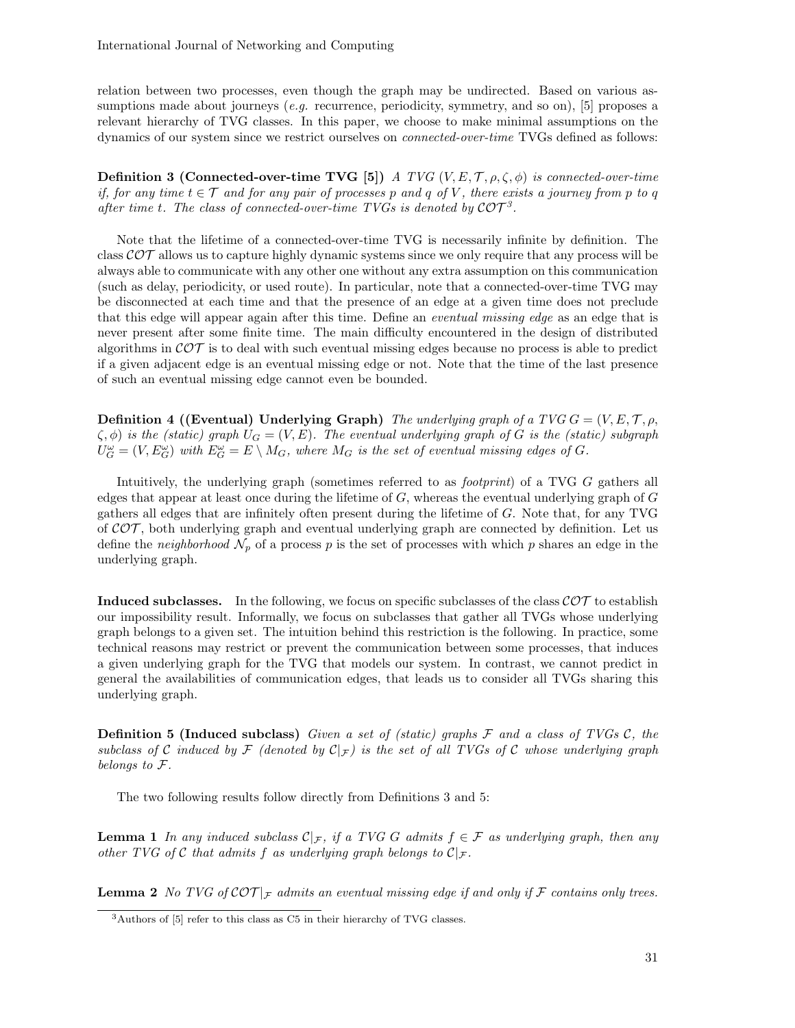relation between two processes, even though the graph may be undirected. Based on various assumptions made about journeys (*e.g.* recurrence, periodicity, symmetry, and so on), [5] proposes a relevant hierarchy of TVG classes. In this paper, we choose to make minimal assumptions on the dynamics of our system since we restrict ourselves on connected-over-time TVGs defined as follows:

**Definition 3 (Connected-over-time TVG [5])** A TVG  $(V, E, T, \rho, \zeta, \phi)$  is connected-over-time if, for any time  $t \in \mathcal{T}$  and for any pair of processes p and q of V, there exists a journey from p to q after time t. The class of connected-over-time TVGs is denoted by  $\mathcal{C} \mathcal{O} \mathcal{T}^3$ .

Note that the lifetime of a connected-over-time TVG is necessarily infinite by definition. The class  $\mathcal{COT}$  allows us to capture highly dynamic systems since we only require that any process will be always able to communicate with any other one without any extra assumption on this communication (such as delay, periodicity, or used route). In particular, note that a connected-over-time TVG may be disconnected at each time and that the presence of an edge at a given time does not preclude that this edge will appear again after this time. Define an eventual missing edge as an edge that is never present after some finite time. The main difficulty encountered in the design of distributed algorithms in  $\mathcal{COT}$  is to deal with such eventual missing edges because no process is able to predict if a given adjacent edge is an eventual missing edge or not. Note that the time of the last presence of such an eventual missing edge cannot even be bounded.

**Definition 4 ((Eventual) Underlying Graph)** The underlying graph of a TVG  $G = (V, E, T, \rho, T)$  $\zeta, \phi$ ) is the (static) graph  $U_G = (V, E)$ . The eventual underlying graph of G is the (static) subgraph  $U_G^{\omega} = (V, E_G^{\omega})$  with  $E_G^{\omega} = E \setminus M_G$ , where  $M_G$  is the set of eventual missing edges of G.

Intuitively, the underlying graph (sometimes referred to as *footprint*) of a TVG G gathers all edges that appear at least once during the lifetime of  $G$ , whereas the eventual underlying graph of  $G$ gathers all edges that are infinitely often present during the lifetime of G. Note that, for any TVG of  $\mathcal{COT}$ , both underlying graph and eventual underlying graph are connected by definition. Let us define the *neighborhood*  $\mathcal{N}_p$  of a process p is the set of processes with which p shares an edge in the underlying graph.

**Induced subclasses.** In the following, we focus on specific subclasses of the class  $\mathcal{COT}$  to establish our impossibility result. Informally, we focus on subclasses that gather all TVGs whose underlying graph belongs to a given set. The intuition behind this restriction is the following. In practice, some technical reasons may restrict or prevent the communication between some processes, that induces a given underlying graph for the TVG that models our system. In contrast, we cannot predict in general the availabilities of communication edges, that leads us to consider all TVGs sharing this underlying graph.

**Definition 5 (Induced subclass)** Given a set of (static) graphs  $\mathcal F$  and a class of TVGs  $\mathcal C$ , the subclass of C induced by  $\mathcal{F}$  (denoted by  $\mathcal{C}|_{\mathcal{F}}$ ) is the set of all TVGs of C whose underlying graph belongs to F.

The two following results follow directly from Definitions 3 and 5:

**Lemma 1** In any induced subclass  $C_{\mathcal{F}}$ , if a TVG G admits  $f \in \mathcal{F}$  as underlying graph, then any other TVG of C that admits f as underlying graph belongs to  $\mathcal{C}|_{\mathcal{F}}$ .

**Lemma 2** No TVG of  $\mathcal{COT}|_{\mathcal{F}}$  admits an eventual missing edge if and only if  $\mathcal{F}$  contains only trees.

<sup>3</sup>Authors of [5] refer to this class as C5 in their hierarchy of TVG classes.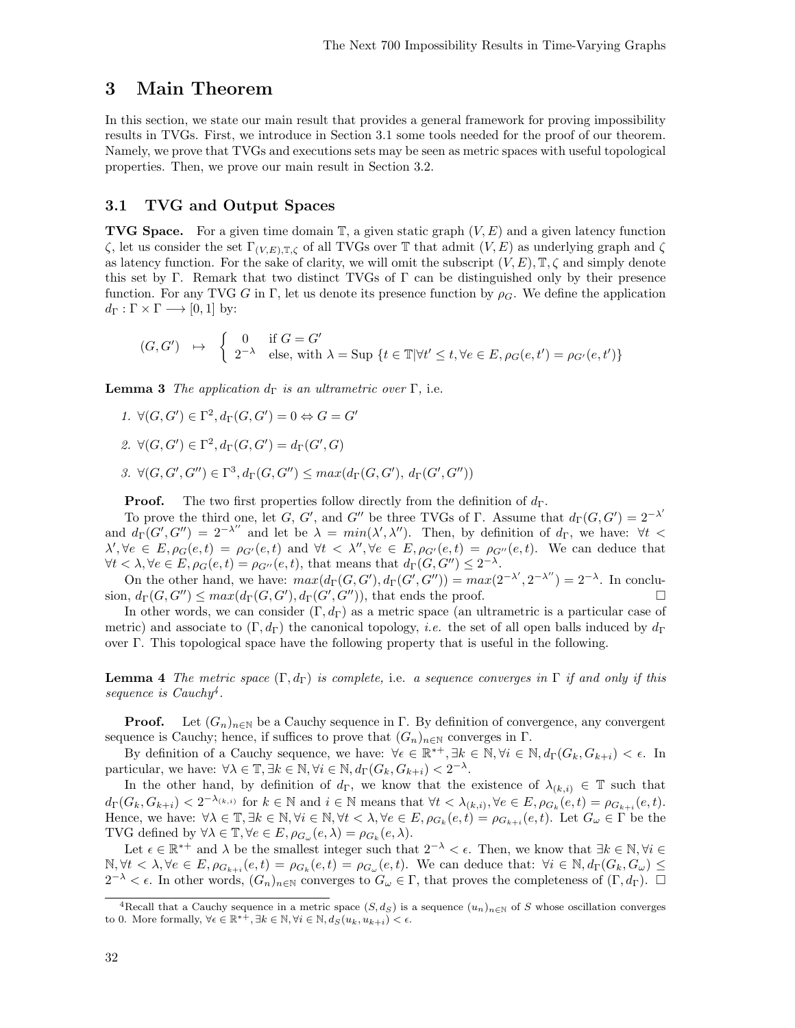### 3 Main Theorem

In this section, we state our main result that provides a general framework for proving impossibility results in TVGs. First, we introduce in Section 3.1 some tools needed for the proof of our theorem. Namely, we prove that TVGs and executions sets may be seen as metric spaces with useful topological properties. Then, we prove our main result in Section 3.2.

### 3.1 TVG and Output Spaces

**TVG Space.** For a given time domain  $\mathbb{T}$ , a given static graph  $(V, E)$  and a given latency function  $\zeta$ , let us consider the set Γ<sub>(V,E),T, $\zeta$ </sub> of all TVGs over T that admit (V,E) as underlying graph and  $\zeta$ as latency function. For the sake of clarity, we will omit the subscript  $(V, E)$ ,  $\mathbb{T}, \zeta$  and simply denote this set by Γ. Remark that two distinct TVGs of Γ can be distinguished only by their presence function. For any TVG G in Γ, let us denote its presence function by  $\rho_G$ . We define the application  $d_{\Gamma}: \Gamma \times \Gamma \longrightarrow [0,1]$  by:

$$
(G, G') \quad \mapsto \quad \begin{cases} \quad 0 & \text{if } G = G' \\ \quad 2^{-\lambda} & \text{else, with } \lambda = \text{Sup } \{t \in \mathbb{T} | \forall t' \le t, \forall e \in E, \rho_G(e, t') = \rho_{G'}(e, t') \} \end{cases}
$$

**Lemma 3** The application  $d_{\Gamma}$  is an ultrametric over  $\Gamma$ , i.e.

- 1.  $\forall (G, G') \in \Gamma^2, d_{\Gamma}(G, G') = 0 \Leftrightarrow G = G'$
- 2.  $\forall (G, G') \in \Gamma^2, d_{\Gamma}(G, G') = d_{\Gamma}(G', G)$
- 3.  $\forall (G, G', G'') \in \Gamma^3, d_{\Gamma}(G, G'') \leq max(d_{\Gamma}(G, G'), d_{\Gamma}(G', G''))$

**Proof.** The two first properties follow directly from the definition of  $d_{\Gamma}$ .

To prove the third one, let G, G', and G'' be three TVGs of Γ. Assume that  $d_{\Gamma}(G, G') = 2^{-\lambda'}$ and  $d_{\Gamma}(G', G'') = 2^{-\lambda''}$  and let be  $\lambda = min(\lambda', \lambda'')$ . Then, by definition of  $d_{\Gamma}$ , we have:  $\forall t$  <  $\lambda', \forall e \in E, \rho_G(e, t) = \rho_{G'}(e, t)$  and  $\forall t < \lambda'', \forall e \in E, \rho_{G'}(e, t) = \rho_{G''}(e, t)$ . We can deduce that  $\forall t < \lambda, \forall e \in E, \rho_G(e, t) = \rho_{G''}(e, t)$ , that means that  $d_{\Gamma}(G, G'') \leq 2^{-\lambda}$ .

On the other hand, we have:  $max(d_{\Gamma}(G, G'), d_{\Gamma}(G', G'')) = max(2^{-\lambda'}, 2^{-\lambda''}) = 2^{-\lambda}$ . In conclusion,  $d_{\Gamma}(G, G'') \leq max(d_{\Gamma}(G, G'), d_{\Gamma}(G', G''))$ , that ends the proof.

In other words, we can consider  $(\Gamma, d_{\Gamma})$  as a metric space (an ultrametric is a particular case of metric) and associate to  $(\Gamma, d_{\Gamma})$  the canonical topology, *i.e.* the set of all open balls induced by  $d_{\Gamma}$ over Γ. This topological space have the following property that is useful in the following.

**Lemma 4** The metric space  $(\Gamma, d_{\Gamma})$  is complete, i.e. a sequence converges in  $\Gamma$  if and only if this sequence is Cauchy<sup>4</sup>.

**Proof.** Let  $(G_n)_{n\in\mathbb{N}}$  be a Cauchy sequence in Γ. By definition of convergence, any convergent sequence is Cauchy; hence, if suffices to prove that  $(G_n)_{n\in\mathbb{N}}$  converges in  $\Gamma$ .

By definition of a Cauchy sequence, we have:  $\forall \epsilon \in \mathbb{R}^{*+}, \exists k \in \mathbb{N}, \forall i \in \mathbb{N}, d_{\Gamma}(G_k, G_{k+i}) < \epsilon$ . In particular, we have:  $\forall \lambda \in \mathbb{T}, \exists k \in \mathbb{N}, \forall i \in \mathbb{N}, d_{\Gamma}(G_k, G_{k+i}) < 2^{-\lambda}$ .

In the other hand, by definition of  $d_{\Gamma}$ , we know that the existence of  $\lambda_{(k,i)} \in \mathbb{T}$  such that  $d_{\Gamma}(G_k, G_{k+i}) < 2^{-\lambda_{(k,i)}}$  for  $k \in \mathbb{N}$  and  $i \in \mathbb{N}$  means that  $\forall t < \lambda_{(k,i)}, \forall e \in E, \rho_{G_k}(e, t) = \rho_{G_{k+i}}(e, t)$ . Hence, we have:  $\forall \lambda \in \mathbb{T}, \exists k \in \mathbb{N}, \forall i \in \mathbb{N}, \forall t < \lambda, \forall e \in E, \rho_{G_k}(e, t) = \rho_{G_{k+i}}(e, t)$ . Let  $G_{\omega} \in \Gamma$  be the TVG defined by  $\forall \lambda \in \mathbb{T}, \forall e \in E, \rho_{G_{\omega}}(e, \lambda) = \rho_{G_k}(e, \lambda).$ 

Let  $\epsilon \in \mathbb{R}^{*+}$  and  $\lambda$  be the smallest integer such that  $2^{-\lambda} < \epsilon$ . Then, we know that  $\exists k \in \mathbb{N}, \forall i \in$  $\mathbb{N}, \forall t \leq \lambda, \forall e \in E, \rho_{G_{k+i}}(e, t) = \rho_{G_k}(e, t) = \rho_{G_{\omega}}(e, t)$ . We can deduce that:  $\forall i \in \mathbb{N}, d_{\Gamma}(G_k, G_{\omega}) \leq$  $2^{-\lambda} < \epsilon$ . In other words,  $(G_n)_{n \in \mathbb{N}}$  converges to  $G_\omega \in \Gamma$ , that proves the completeness of  $(\Gamma, d_\Gamma)$ .  $\Box$ 

<sup>&</sup>lt;sup>4</sup>Recall that a Cauchy sequence in a metric space  $(S, d_S)$  is a sequence  $(u_n)_{n \in \mathbb{N}}$  of S whose oscillation converges to 0. More formally,  $\forall \epsilon \in \mathbb{R}^{*+}, \exists k \in \mathbb{N}, \forall i \in \mathbb{N}, d_S(u_k, u_{k+i}) < \epsilon$ .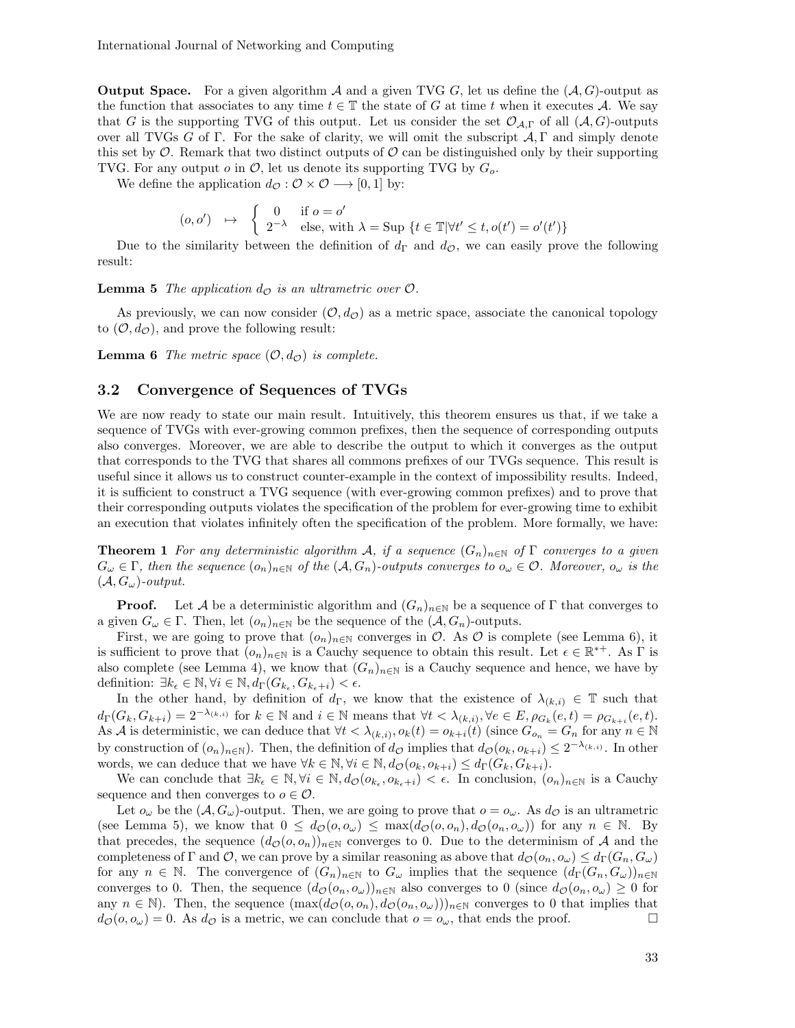International Journal of Networking and Computing

**Output Space.** For a given algorithm  $A$  and a given TVG G, let us define the  $(A, G)$ -output as the function that associates to any time  $t \in \mathbb{T}$  the state of G at time t when it executes A. We say that G is the supporting TVG of this output. Let us consider the set  $\mathcal{O}_{\mathcal{A},\Gamma}$  of all  $(\mathcal{A}, G)$ -outputs over all TVGs G of Γ. For the sake of clarity, we will omit the subscript  $A, \Gamma$  and simply denote this set by  $\mathcal O$ . Remark that two distinct outputs of  $\mathcal O$  can be distinguished only by their supporting TVG. For any output  $o$  in  $\mathcal{O}$ , let us denote its supporting TVG by  $G_o$ .

We define the application  $d_{\mathcal{O}} : \mathcal{O} \times \mathcal{O} \longrightarrow [0, 1]$  by:

$$
(o, o') \quad \mapsto \quad \begin{cases} \quad 0 & \text{if } o = o' \\ \quad 2^{-\lambda} & \text{else, with } \lambda = \text{Sup } \{t \in \mathbb{T} | \forall t' \le t, o(t') = o'(t') \} \end{cases}
$$

Due to the similarity between the definition of  $d_{\Gamma}$  and  $d_{\mathcal{O}}$ , we can easily prove the following result:

**Lemma 5** The application  $d_{\mathcal{O}}$  is an ultrametric over  $\mathcal{O}$ .

As previously, we can now consider  $(\mathcal{O}, d_{\mathcal{O}})$  as a metric space, associate the canonical topology to  $(0, d<sub>O</sub>)$ , and prove the following result:

**Lemma 6** The metric space  $(0, d_{\mathcal{O}})$  is complete.

#### 3.2 Convergence of Sequences of TVGs

We are now ready to state our main result. Intuitively, this theorem ensures us that, if we take a sequence of TVGs with ever-growing common prefixes, then the sequence of corresponding outputs also converges. Moreover, we are able to describe the output to which it converges as the output that corresponds to the TVG that shares all commons prefixes of our TVGs sequence. This result is useful since it allows us to construct counter-example in the context of impossibility results. Indeed, it is sufficient to construct a TVG sequence (with ever-growing common prefixes) and to prove that their corresponding outputs violates the specification of the problem for ever-growing time to exhibit an execution that violates infinitely often the specification of the problem. More formally, we have:

**Theorem 1** For any deterministic algorithm A, if a sequence  $(G_n)_{n\in\mathbb{N}}$  of  $\Gamma$  converges to a given  $G_{\omega} \in \Gamma$ , then the sequence  $(o_n)_{n \in \mathbb{N}}$  of the  $(A, G_n)$ -outputs converges to  $o_{\omega} \in \mathcal{O}$ . Moreover,  $o_{\omega}$  is the  $(\mathcal{A}, G_{\omega})$ -output.

**Proof.** Let A be a deterministic algorithm and  $(G_n)_{n\in\mathbb{N}}$  be a sequence of Γ that converges to a given  $G_{\omega} \in \Gamma$ . Then, let  $(o_n)_{n \in \mathbb{N}}$  be the sequence of the  $(\mathcal{A}, G_n)$ -outputs.

First, we are going to prove that  $(o_n)_{n\in\mathbb{N}}$  converges in  $\mathcal{O}$ . As  $\mathcal{O}$  is complete (see Lemma 6), it is sufficient to prove that  $(o_n)_{n\in\mathbb{N}}$  is a Cauchy sequence to obtain this result. Let  $\epsilon \in \mathbb{R}^{*+}$ . As  $\Gamma$  is also complete (see Lemma 4), we know that  $(G_n)_{n\in\mathbb{N}}$  is a Cauchy sequence and hence, we have by definition:  $\exists k_{\epsilon} \in \mathbb{N}, \forall i \in \mathbb{N}, d_{\Gamma}(G_{k_{\epsilon}}, G_{k_{\epsilon}+i}) < \epsilon.$ 

In the other hand, by definition of  $d_{\Gamma}$ , we know that the existence of  $\lambda_{(k,i)} \in \mathbb{T}$  such that  $d_{\Gamma}(G_k, G_{k+i}) = 2^{-\lambda_{(k,i)}}$  for  $k \in \mathbb{N}$  and  $i \in \mathbb{N}$  means that  $\forall t < \lambda_{(k,i)}, \forall e \in E$ ,  $\rho_{G_k}(e, t) = \rho_{G_{k+i}}(e, t)$ . As A is deterministic, we can deduce that  $\forall t < \lambda_{(k,i)}, o_k(t) = o_{k+i}(t)$  (since  $G_{o_n} = G_n$  for any  $n \in \mathbb{N}$ by construction of  $(o_n)_{n\in\mathbb{N}}$ ). Then, the definition of  $d_{\mathcal{O}}$  implies that  $d_{\mathcal{O}}(o_k, o_{k+i}) \leq 2^{-\lambda_{(k,i)}}$ . In other words, we can deduce that we have  $\forall k \in \mathbb{N}, \forall i \in \mathbb{N}, d_{\mathcal{O}}(o_k, o_{k+i}) \leq d_{\Gamma}(G_k, G_{k+i}).$ 

We can conclude that  $\exists k_{\epsilon} \in \mathbb{N}, \forall i \in \mathbb{N}, d_{\mathcal{O}}(o_{k_{\epsilon}}, o_{k_{\epsilon}+i}) < \epsilon$ . In conclusion,  $(o_n)_{n \in \mathbb{N}}$  is a Cauchy sequence and then converges to  $o \in \mathcal{O}$ .

Let  $o_\omega$  be the  $(\mathcal{A}, G_\omega)$ -output. Then, we are going to prove that  $o = o_\omega$ . As  $d_\mathcal{O}$  is an ultrametric (see Lemma 5), we know that  $0 \leq d_{\mathcal{O}}(o, o_{\omega}) \leq \max(d_{\mathcal{O}}(o, o_n), d_{\mathcal{O}}(o_n, o_{\omega}))$  for any  $n \in \mathbb{N}$ . By that precedes, the sequence  $(d_{\mathcal{O}}(o, o_n))_{n \in \mathbb{N}}$  converges to 0. Due to the determinism of A and the completeness of Γ and Ο, we can prove by a similar reasoning as above that  $d_{\mathcal{O}}(o_n, o_{\omega}) \leq d_{\Gamma}(G_n, G_{\omega})$ for any  $n \in \mathbb{N}$ . The convergence of  $(G_n)_{n\in\mathbb{N}}$  to  $G_\omega$  implies that the sequence  $(d_\Gamma(G_n, G_\omega))_{n\in\mathbb{N}}$ converges to 0. Then, the sequence  $(d_{\mathcal{O}}(o_n, o_{\omega}))_{n\in\mathbb{N}}$  also converges to 0 (since  $d_{\mathcal{O}}(o_n, o_{\omega}) \geq 0$  for any  $n \in \mathbb{N}$ . Then, the sequence  $(\max(d_{\mathcal{O}}(o, o_n), d_{\mathcal{O}}(o_n, o_{\omega})))_{n \in \mathbb{N}}$  converges to 0 that implies that  $d_{\mathcal{O}}(o, o_{\omega}) = 0$ . As  $d_{\mathcal{O}}$  is a metric, we can conclude that  $o = o_{\omega}$ , that ends the proof.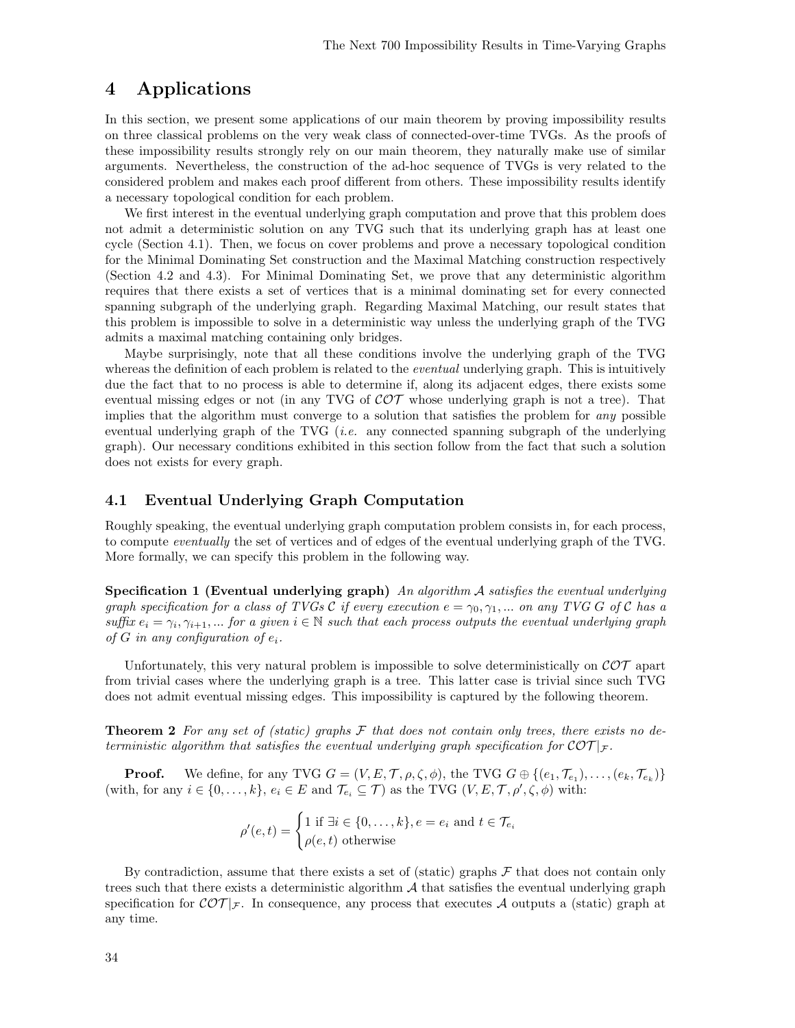## 4 Applications

In this section, we present some applications of our main theorem by proving impossibility results on three classical problems on the very weak class of connected-over-time TVGs. As the proofs of these impossibility results strongly rely on our main theorem, they naturally make use of similar arguments. Nevertheless, the construction of the ad-hoc sequence of TVGs is very related to the considered problem and makes each proof different from others. These impossibility results identify a necessary topological condition for each problem.

We first interest in the eventual underlying graph computation and prove that this problem does not admit a deterministic solution on any TVG such that its underlying graph has at least one cycle (Section 4.1). Then, we focus on cover problems and prove a necessary topological condition for the Minimal Dominating Set construction and the Maximal Matching construction respectively (Section 4.2 and 4.3). For Minimal Dominating Set, we prove that any deterministic algorithm requires that there exists a set of vertices that is a minimal dominating set for every connected spanning subgraph of the underlying graph. Regarding Maximal Matching, our result states that this problem is impossible to solve in a deterministic way unless the underlying graph of the TVG admits a maximal matching containing only bridges.

Maybe surprisingly, note that all these conditions involve the underlying graph of the TVG whereas the definition of each problem is related to the *eventual* underlying graph. This is intuitively due the fact that to no process is able to determine if, along its adjacent edges, there exists some eventual missing edges or not (in any TVG of  $\mathcal{COT}$  whose underlying graph is not a tree). That implies that the algorithm must converge to a solution that satisfies the problem for any possible eventual underlying graph of the TVG *(i.e.* any connected spanning subgraph of the underlying graph). Our necessary conditions exhibited in this section follow from the fact that such a solution does not exists for every graph.

### 4.1 Eventual Underlying Graph Computation

Roughly speaking, the eventual underlying graph computation problem consists in, for each process, to compute eventually the set of vertices and of edges of the eventual underlying graph of the TVG. More formally, we can specify this problem in the following way.

Specification 1 (Eventual underlying graph) An algorithm  $A$  satisfies the eventual underlying graph specification for a class of TVGs C if every execution  $e = \gamma_0, \gamma_1, ...$  on any TVG G of C has a suffix  $e_i = \gamma_i, \gamma_{i+1}, \dots$  for a given  $i \in \mathbb{N}$  such that each process outputs the eventual underlying graph of G in any configuration of  $e_i$ .

Unfortunately, this very natural problem is impossible to solve deterministically on  $\mathcal{COT}$  apart from trivial cases where the underlying graph is a tree. This latter case is trivial since such TVG does not admit eventual missing edges. This impossibility is captured by the following theorem.

**Theorem 2** For any set of (static) graphs  $\mathcal F$  that does not contain only trees, there exists no deterministic algorithm that satisfies the eventual underlying graph specification for  $\mathcal{C} \mathcal{O} \mathcal{T}|_{\mathcal{F}}$ .

**Proof.** We define, for any TVG  $G = (V, E, \mathcal{T}, \rho, \zeta, \phi)$ , the TVG  $G \oplus \{(e_1, \mathcal{T}_{e_1}), \ldots, (e_k, \mathcal{T}_{e_k})\}$ (with, for any  $i \in \{0, \ldots, k\}$ ,  $e_i \in E$  and  $\mathcal{T}_{e_i} \subseteq \mathcal{T}$ ) as the TVG  $(V, E, \mathcal{T}, \rho', \zeta, \phi)$  with:

$$
\rho'(e,t) = \begin{cases} 1 \text{ if } \exists i \in \{0,\ldots,k\}, e = e_i \text{ and } t \in \mathcal{T}_{e_i} \\ \rho(e,t) \text{ otherwise} \end{cases}
$$

By contradiction, assume that there exists a set of (static) graphs  $\mathcal F$  that does not contain only trees such that there exists a deterministic algorithm  $A$  that satisfies the eventual underlying graph specification for  $\mathcal{COT}|_{\mathcal{F}}$ . In consequence, any process that executes A outputs a (static) graph at any time.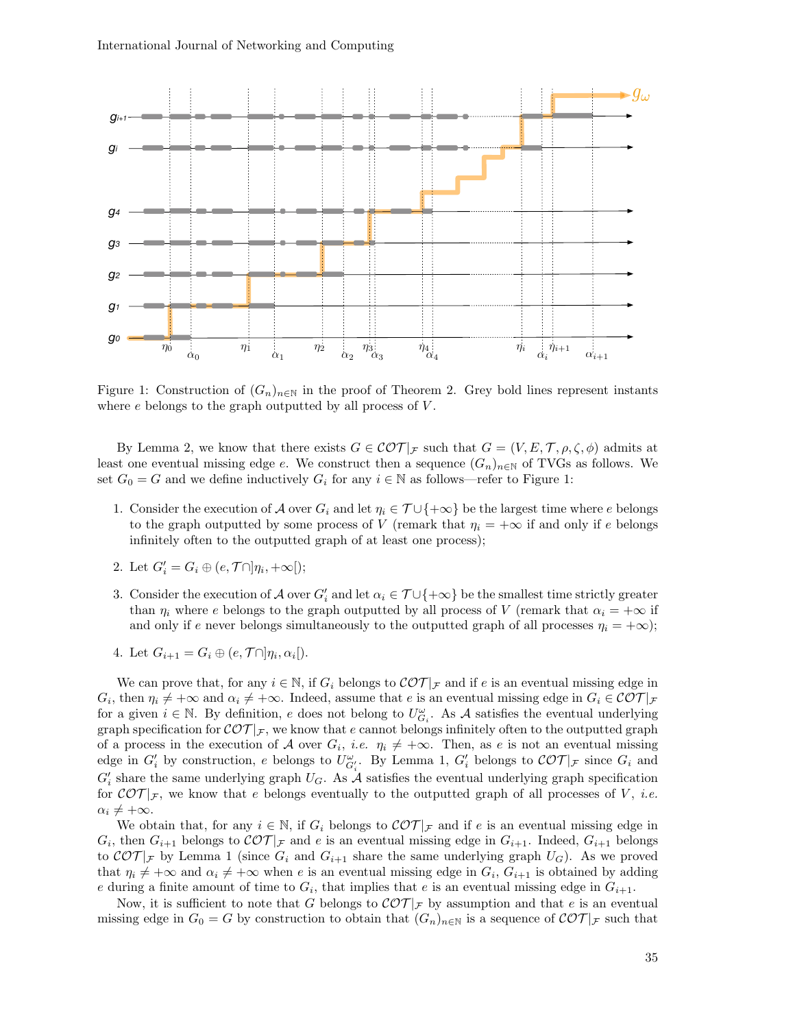

Figure 1: Construction of  $(G_n)_{n\in\mathbb{N}}$  in the proof of Theorem 2. Grey bold lines represent instants where  $e$  belongs to the graph outputted by all process of  $V$ .

By Lemma 2, we know that there exists  $G \in \mathcal{COT}|_{\mathcal{F}}$  such that  $G = (V, E, \mathcal{T}, \rho, \zeta, \phi)$  admits at least one eventual missing edge e. We construct then a sequence  $(G_n)_{n\in\mathbb{N}}$  of TVGs as follows. We set  $G_0 = G$  and we define inductively  $G_i$  for any  $i \in \mathbb{N}$  as follows—refer to Figure 1:

- 1. Consider the execution of A over  $G_i$  and let  $\eta_i \in \mathcal{T} \cup \{+\infty\}$  be the largest time where e belongs to the graph outputted by some process of V (remark that  $\eta_i = +\infty$  if and only if e belongs infinitely often to the outputted graph of at least one process);
- 2. Let  $G_i' = G_i \oplus (e, \mathcal{T} \cap ]\eta_i, +\infty[);$
- 3. Consider the execution of A over  $G_i'$  and let  $\alpha_i \in \mathcal{T} \cup \{+\infty\}$  be the smallest time strictly greater than  $\eta_i$  where e belongs to the graph outputted by all process of V (remark that  $\alpha_i = +\infty$  if and only if e never belongs simultaneously to the outputted graph of all processes  $\eta_i = +\infty$ ;

4. Let 
$$
G_{i+1} = G_i \oplus (e, \mathcal{T} \cap \mathcal{Y}_i, \alpha_i)
$$
.

We can prove that, for any  $i \in \mathbb{N}$ , if  $G_i$  belongs to  $\mathcal{COT}|_{\mathcal{F}}$  and if e is an eventual missing edge in  $G_i$ , then  $\eta_i \neq +\infty$  and  $\alpha_i \neq +\infty$ . Indeed, assume that e is an eventual missing edge in  $G_i \in \mathcal{COT}|_{\mathcal{F}}$ for a given  $i \in \mathbb{N}$ . By definition, e does not belong to  $U_{G_i}^{\omega}$ . As A satisfies the eventual underlying graph specification for  $\mathcal{COT}|_{\mathcal{F}}$ , we know that e cannot belongs infinitely often to the outputted graph of a process in the execution of A over  $G_i$ , *i.e.*  $\eta_i \neq +\infty$ . Then, as e is not an eventual missing edge in  $G_i'$  by construction, e belongs to  $U_{G_i'}^{\omega}$ . By Lemma 1,  $G_i'$  belongs to  $\mathcal{COT}|_{\mathcal{F}}$  since  $G_i$  and  $G_i'$  share the same underlying graph  $U_G$ . As  $\mathcal A$  satisfies the eventual underlying graph specification for  $\mathcal{COT}|_{\mathcal{F}}$ , we know that e belongs eventually to the outputted graph of all processes of V, *i.e.*  $\alpha_i \neq +\infty$ .

We obtain that, for any  $i \in \mathbb{N}$ , if  $G_i$  belongs to  $\mathcal{COT}|_{\mathcal{F}}$  and if e is an eventual missing edge in  $G_i$ , then  $G_{i+1}$  belongs to  $\mathcal{COT}|_{\mathcal{F}}$  and e is an eventual missing edge in  $G_{i+1}$ . Indeed,  $G_{i+1}$  belongs to  $\mathcal{COT}|_{\mathcal{F}}$  by Lemma 1 (since  $G_i$  and  $G_{i+1}$  share the same underlying graph  $U_G$ ). As we proved that  $\eta_i \neq +\infty$  and  $\alpha_i \neq +\infty$  when e is an eventual missing edge in  $G_i$ ,  $G_{i+1}$  is obtained by adding e during a finite amount of time to  $G_i$ , that implies that e is an eventual missing edge in  $G_{i+1}$ .

Now, it is sufficient to note that G belongs to  $\mathcal{COT}|_{\mathcal{F}}$  by assumption and that e is an eventual missing edge in  $G_0 = G$  by construction to obtain that  $(G_n)_{n \in \mathbb{N}}$  is a sequence of  $\mathcal{COT}|_{\mathcal{F}}$  such that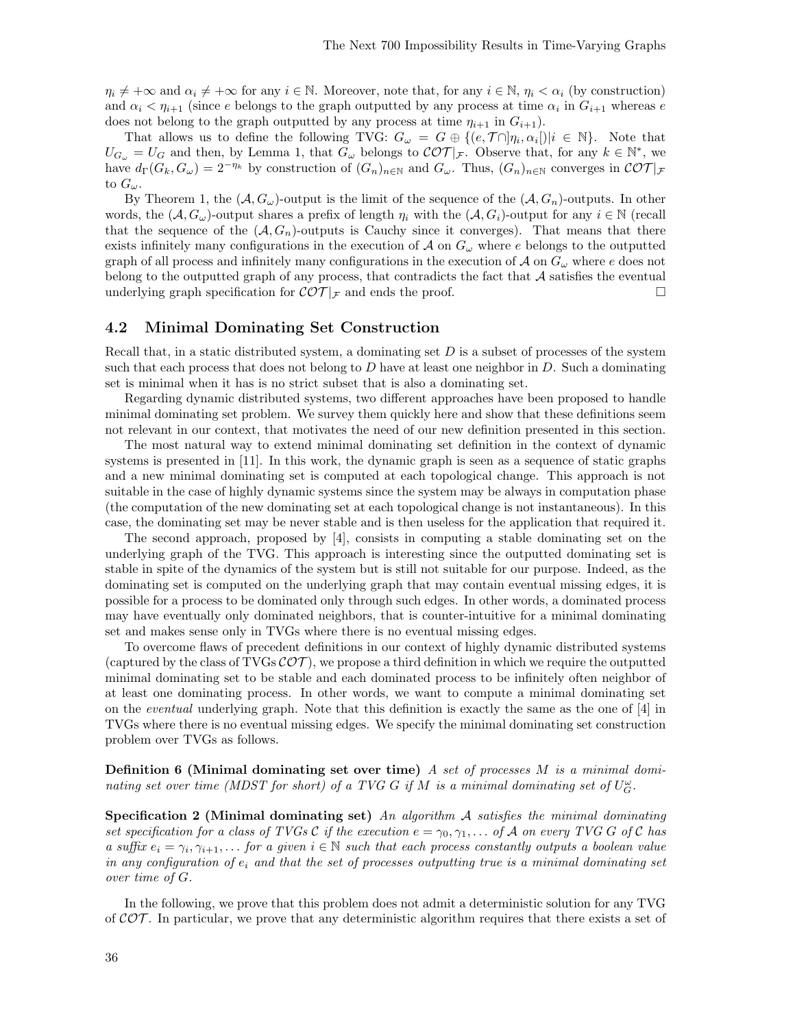$\eta_i \neq +\infty$  and  $\alpha_i \neq +\infty$  for any  $i \in \mathbb{N}$ . Moreover, note that, for any  $i \in \mathbb{N}$ ,  $\eta_i < \alpha_i$  (by construction) and  $\alpha_i < \eta_{i+1}$  (since e belongs to the graph outputted by any process at time  $\alpha_i$  in  $G_{i+1}$  whereas e does not belong to the graph outputted by any process at time  $\eta_{i+1}$  in  $G_{i+1}$ ).

That allows us to define the following TVG:  $G_{\omega} = G \oplus \{ (e, \mathcal{T} \cap ] \eta_i, \alpha_i[)| i \in \mathbb{N} \}$ . Note that  $U_{G_{\omega}} = U_G$  and then, by Lemma 1, that  $G_{\omega}$  belongs to  $\mathcal{COT}|_{\mathcal{F}}$ . Observe that, for any  $k \in \mathbb{N}^*$ , we have  $d_{\Gamma}(G_k, G_{\omega}) = 2^{-\eta_k}$  by construction of  $(G_n)_{n \in \mathbb{N}}$  and  $G_{\omega}$ . Thus,  $(G_n)_{n \in \mathbb{N}}$  converges in  $\mathcal{COT}|_{\mathcal{F}}$ to  $G_{\omega}$ .

By Theorem 1, the  $(A, G_\omega)$ -output is the limit of the sequence of the  $(A, G_n)$ -outputs. In other words, the  $(A, G_{\omega})$ -output shares a prefix of length  $\eta_i$  with the  $(A, G_i)$ -output for any  $i \in \mathbb{N}$  (recall that the sequence of the  $(A, G_n)$ -outputs is Cauchy since it converges). That means that there exists infinitely many configurations in the execution of  $\mathcal A$  on  $G_\omega$  where e belongs to the outputted graph of all process and infinitely many configurations in the execution of  $\mathcal A$  on  $G_\omega$  where e does not belong to the outputted graph of any process, that contradicts the fact that  $A$  satisfies the eventual underlying graph specification for  $\mathcal{COT}|_{\mathcal{F}}$  and ends the proof.

### 4.2 Minimal Dominating Set Construction

Recall that, in a static distributed system, a dominating set  $D$  is a subset of processes of the system such that each process that does not belong to  $D$  have at least one neighbor in  $D$ . Such a dominating set is minimal when it has is no strict subset that is also a dominating set.

Regarding dynamic distributed systems, two different approaches have been proposed to handle minimal dominating set problem. We survey them quickly here and show that these definitions seem not relevant in our context, that motivates the need of our new definition presented in this section.

The most natural way to extend minimal dominating set definition in the context of dynamic systems is presented in [11]. In this work, the dynamic graph is seen as a sequence of static graphs and a new minimal dominating set is computed at each topological change. This approach is not suitable in the case of highly dynamic systems since the system may be always in computation phase (the computation of the new dominating set at each topological change is not instantaneous). In this case, the dominating set may be never stable and is then useless for the application that required it.

The second approach, proposed by [4], consists in computing a stable dominating set on the underlying graph of the TVG. This approach is interesting since the outputted dominating set is stable in spite of the dynamics of the system but is still not suitable for our purpose. Indeed, as the dominating set is computed on the underlying graph that may contain eventual missing edges, it is possible for a process to be dominated only through such edges. In other words, a dominated process may have eventually only dominated neighbors, that is counter-intuitive for a minimal dominating set and makes sense only in TVGs where there is no eventual missing edges.

To overcome flaws of precedent definitions in our context of highly dynamic distributed systems (captured by the class of TVGs  $\mathcal{COT}$ ), we propose a third definition in which we require the outputted minimal dominating set to be stable and each dominated process to be infinitely often neighbor of at least one dominating process. In other words, we want to compute a minimal dominating set on the eventual underlying graph. Note that this definition is exactly the same as the one of [4] in TVGs where there is no eventual missing edges. We specify the minimal dominating set construction problem over TVGs as follows.

**Definition 6 (Minimal dominating set over time)** A set of processes M is a minimal dominating set over time (MDST for short) of a TVG G if M is a minimal dominating set of  $U_G^{\omega}$ .

Specification 2 (Minimal dominating set) An algorithm  $A$  satisfies the minimal dominating set specification for a class of TVGs C if the execution  $e = \gamma_0, \gamma_1, \dots$  of A on every TVG G of C has a suffix  $e_i = \gamma_i, \gamma_{i+1}, \ldots$  for a given  $i \in \mathbb{N}$  such that each process constantly outputs a boolean value in any configuration of  $e_i$  and that the set of processes outputting true is a minimal dominating set over time of G.

In the following, we prove that this problem does not admit a deterministic solution for any TVG of  $\mathcal{COT}$ . In particular, we prove that any deterministic algorithm requires that there exists a set of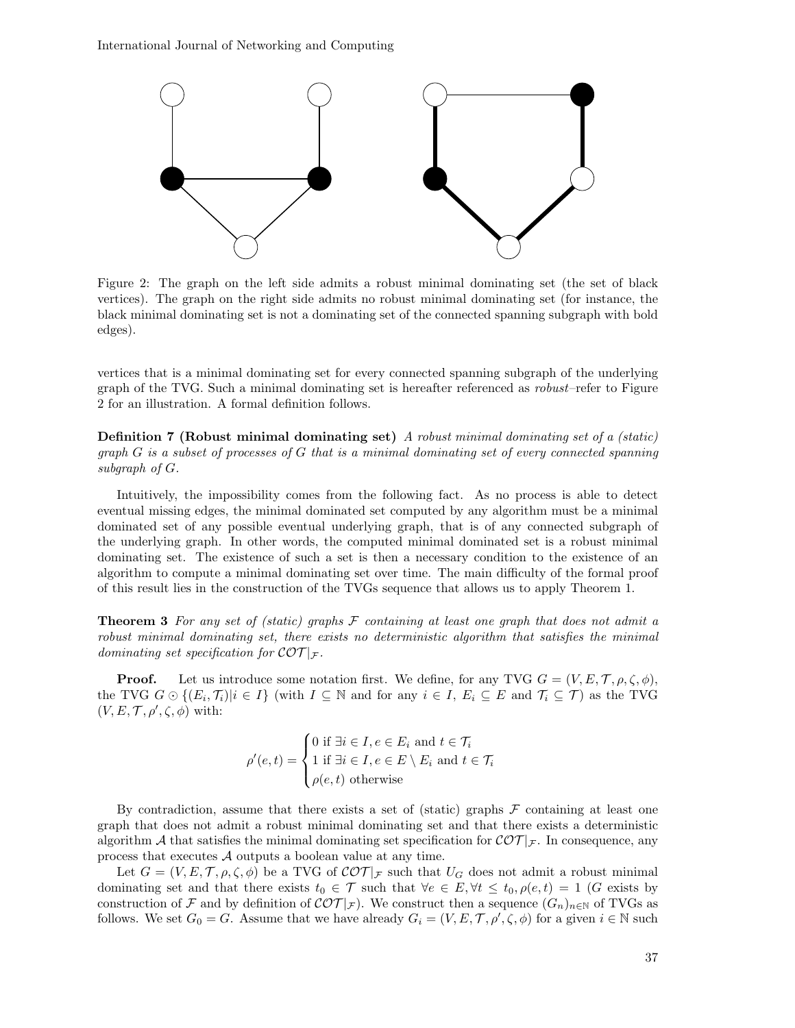International Journal of Networking and Computing



Figure 2: The graph on the left side admits a robust minimal dominating set (the set of black vertices). The graph on the right side admits no robust minimal dominating set (for instance, the black minimal dominating set is not a dominating set of the connected spanning subgraph with bold edges).

vertices that is a minimal dominating set for every connected spanning subgraph of the underlying graph of the TVG. Such a minimal dominating set is hereafter referenced as robust–refer to Figure 2 for an illustration. A formal definition follows.

Definition 7 (Robust minimal dominating set) A robust minimal dominating set of a (static) graph  $G$  is a subset of processes of  $G$  that is a minimal dominating set of every connected spanning subgraph of G.

Intuitively, the impossibility comes from the following fact. As no process is able to detect eventual missing edges, the minimal dominated set computed by any algorithm must be a minimal dominated set of any possible eventual underlying graph, that is of any connected subgraph of the underlying graph. In other words, the computed minimal dominated set is a robust minimal dominating set. The existence of such a set is then a necessary condition to the existence of an algorithm to compute a minimal dominating set over time. The main difficulty of the formal proof of this result lies in the construction of the TVGs sequence that allows us to apply Theorem 1.

**Theorem 3** For any set of (static) graphs  $\mathcal F$  containing at least one graph that does not admit a robust minimal dominating set, there exists no deterministic algorithm that satisfies the minimal dominating set specification for  $\mathcal{COT}|_{\mathcal{F}}$ .

**Proof.** Let us introduce some notation first. We define, for any TVG  $G = (V, E, \mathcal{T}, \rho, \zeta, \phi)$ , the TVG  $G \odot \{(E_i, \mathcal{T}_i)|i \in I\}$  (with  $I \subseteq \mathbb{N}$  and for any  $i \in I$ ,  $E_i \subseteq E$  and  $\mathcal{T}_i \subseteq \mathcal{T}$ ) as the TVG  $(V, E, T, \rho', \zeta, \phi)$  with:

$$
\rho'(e,t) = \begin{cases} 0 \text{ if } \exists i \in I, e \in E_i \text{ and } t \in \mathcal{T}_i \\ 1 \text{ if } \exists i \in I, e \in E \setminus E_i \text{ and } t \in \mathcal{T}_i \\ \rho(e,t) \text{ otherwise} \end{cases}
$$

By contradiction, assume that there exists a set of (static) graphs  $\mathcal F$  containing at least one graph that does not admit a robust minimal dominating set and that there exists a deterministic algorithm A that satisfies the minimal dominating set specification for  $\mathcal{COT}|_{\mathcal{F}}$ . In consequence, any process that executes A outputs a boolean value at any time.

Let  $G = (V, E, \mathcal{T}, \rho, \zeta, \phi)$  be a TVG of  $\mathcal{COT}|_{\mathcal{F}}$  such that  $U_G$  does not admit a robust minimal dominating set and that there exists  $t_0 \in \mathcal{T}$  such that  $\forall e \in E, \forall t \leq t_0, \rho(e, t) = 1$  (G exists by construction of F and by definition of  $\mathcal{COT}|_{\mathcal{F}}$ ). We construct then a sequence  $(G_n)_{n\in\mathbb{N}}$  of TVGs as follows. We set  $G_0 = G$ . Assume that we have already  $G_i = (V, E, \mathcal{T}, \rho', \zeta, \phi)$  for a given  $i \in \mathbb{N}$  such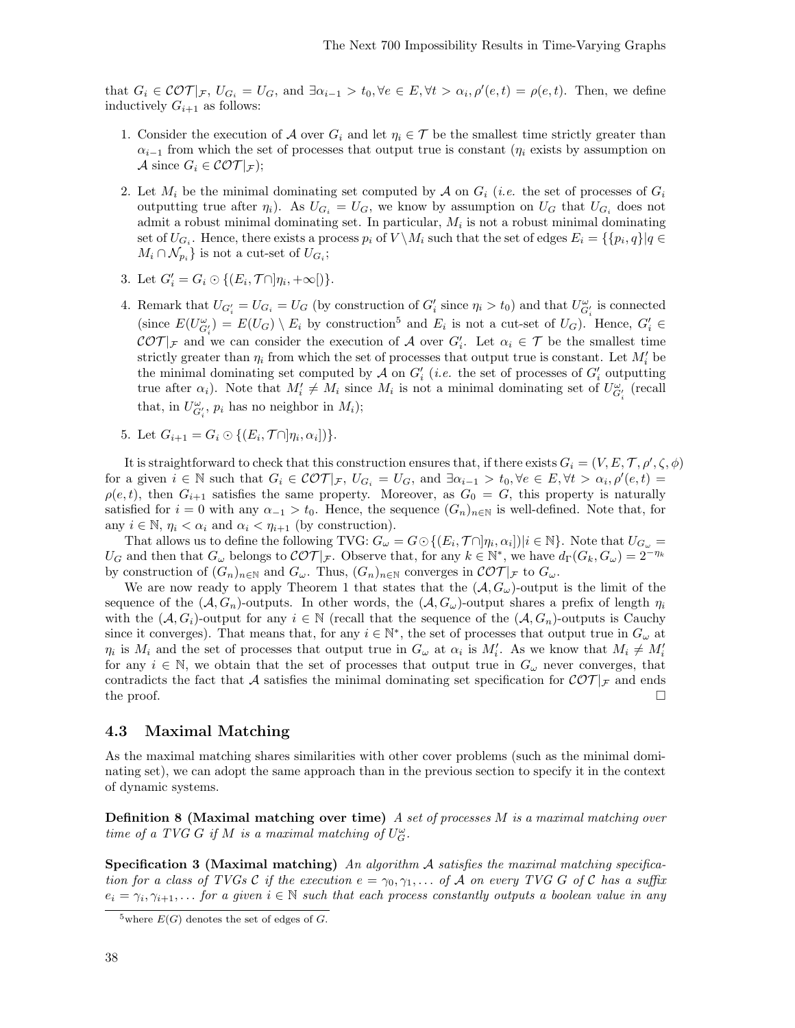that  $G_i \in \mathcal{COT}|_{\mathcal{F}}, U_{G_i} = U_G$ , and  $\exists \alpha_{i-1} > t_0, \forall e \in E, \forall t > \alpha_i, \rho'(e, t) = \rho(e, t)$ . Then, we define inductively  $G_{i+1}$  as follows:

- 1. Consider the execution of A over  $G_i$  and let  $\eta_i \in \mathcal{T}$  be the smallest time strictly greater than  $\alpha_{i-1}$  from which the set of processes that output true is constant ( $\eta_i$  exists by assumption on A since  $G_i \in \mathcal{COT}|_{\mathcal{F}}$ ;
- 2. Let  $M_i$  be the minimal dominating set computed by A on  $G_i$  (*i.e.* the set of processes of  $G_i$ outputting true after  $\eta_i$ ). As  $U_{G_i} = U_G$ , we know by assumption on  $U_G$  that  $U_{G_i}$  does not admit a robust minimal dominating set. In particular,  $M_i$  is not a robust minimal dominating set of  $U_{G_i}$ . Hence, there exists a process  $p_i$  of  $V \setminus M_i$  such that the set of edges  $E_i = \{\{p_i, q\} | q \in$  $M_i \cap \mathcal{N}_{p_i}$  is not a cut-set of  $U_{G_i}$ ;
- 3. Let  $G_i' = G_i \odot \{(E_i, \mathcal{T} \cap ]\eta_i, +\infty[\})$ .
- 4. Remark that  $U_{G_i'} = U_{G_i} = U_G$  (by construction of  $G_i'$  since  $\eta_i > t_0$ ) and that  $U_{G_i'}^{\omega}$  is connected (since  $E(U_{G_i}^{\omega}) = E(U_G) \setminus E_i$  by construction<sup>5</sup> and  $E_i$  is not a cut-set of  $U_G$ ). Hence,  $G_i' \in$  $\mathcal{COT}|_{\mathcal{F}}$  and we can consider the execution of A over  $G_i'$ . Let  $\alpha_i \in \mathcal{T}$  be the smallest time strictly greater than  $\eta_i$  from which the set of processes that output true is constant. Let  $M_i'$  be the minimal dominating set computed by  $\mathcal A$  on  $G_i'$  (*i.e.* the set of processes of  $G_i'$  outputting true after  $\alpha_i$ ). Note that  $M'_i \neq M_i$  since  $M_i$  is not a minimal dominating set of  $U^{\omega}_{G'_i}$  (recall that, in  $U^{\omega}_{G'_i}$ ,  $p_i$  has no neighbor in  $M_i$ );
- 5. Let  $G_{i+1} = G_i \odot \{(E_i, \mathcal{T} \cap ]\eta_i, \alpha_i]\}.$

It is straightforward to check that this construction ensures that, if there exists  $G_i = (V, E, T, \rho', \zeta, \phi)$ for a given  $i \in \mathbb{N}$  such that  $G_i \in \mathcal{COT}|_{\mathcal{F}}$ ,  $U_{G_i} = U_G$ , and  $\exists \alpha_{i-1} > t_0, \forall e \in E, \forall t > \alpha_i, \rho'(e, t) =$  $\rho(e, t)$ , then  $G_{i+1}$  satisfies the same property. Moreover, as  $G_0 = G$ , this property is naturally satisfied for  $i = 0$  with any  $\alpha_{-1} > t_0$ . Hence, the sequence  $(G_n)_{n \in \mathbb{N}}$  is well-defined. Note that, for any  $i \in \mathbb{N}$ ,  $\eta_i < \alpha_i$  and  $\alpha_i < \eta_{i+1}$  (by construction).

That allows us to define the following TVG:  $G_{\omega} = G \odot \{(E_i, \mathcal{T} \cap ]\eta_i, \alpha_i] \mid i \in \mathbb{N}\}\.$  Note that  $U_{G_{\omega}} =$  $U_G$  and then that  $G_\omega$  belongs to  $\mathcal{COT}|_{\mathcal{F}}$ . Observe that, for any  $k \in \mathbb{N}^*$ , we have  $d_{\Gamma}(G_k, G_\omega) = 2^{-\eta_k}$ by construction of  $(G_n)_{n\in\mathbb{N}}$  and  $G_\omega$ . Thus,  $(G_n)_{n\in\mathbb{N}}$  converges in  $\mathcal{COT}|_{\mathcal{F}}$  to  $G_\omega$ .

We are now ready to apply Theorem 1 that states that the  $(A, G_{\omega})$ -output is the limit of the sequence of the  $(A, G_n)$ -outputs. In other words, the  $(A, G_\omega)$ -output shares a prefix of length  $\eta_i$ with the  $(A, G_i)$ -output for any  $i \in \mathbb{N}$  (recall that the sequence of the  $(A, G_n)$ -outputs is Cauchy since it converges). That means that, for any  $i \in \mathbb{N}^*$ , the set of processes that output true in  $G_\omega$  at  $\eta_i$  is  $M_i$  and the set of processes that output true in  $G_\omega$  at  $\alpha_i$  is  $M'_i$ . As we know that  $M_i \neq M'_i$ for any  $i \in \mathbb{N}$ , we obtain that the set of processes that output true in  $G_{\omega}$  never converges, that contradicts the fact that A satisfies the minimal dominating set specification for  $\mathcal{COT}_{\mathcal{F}}$  and ends the proof.  $\Box$ 

### 4.3 Maximal Matching

As the maximal matching shares similarities with other cover problems (such as the minimal dominating set), we can adopt the same approach than in the previous section to specify it in the context of dynamic systems.

**Definition 8 (Maximal matching over time)** A set of processes M is a maximal matching over time of a TVG G if M is a maximal matching of  $U_G^{\omega}$ .

**Specification 3 (Maximal matching)** An algorithm A satisfies the maximal matching specification for a class of TVGs C if the execution  $e = \gamma_0, \gamma_1, \dots$  of A on every TVG G of C has a suffix  $e_i = \gamma_i, \gamma_{i+1}, \ldots$  for a given  $i \in \mathbb{N}$  such that each process constantly outputs a boolean value in any

<sup>&</sup>lt;sup>5</sup>where  $E(G)$  denotes the set of edges of G.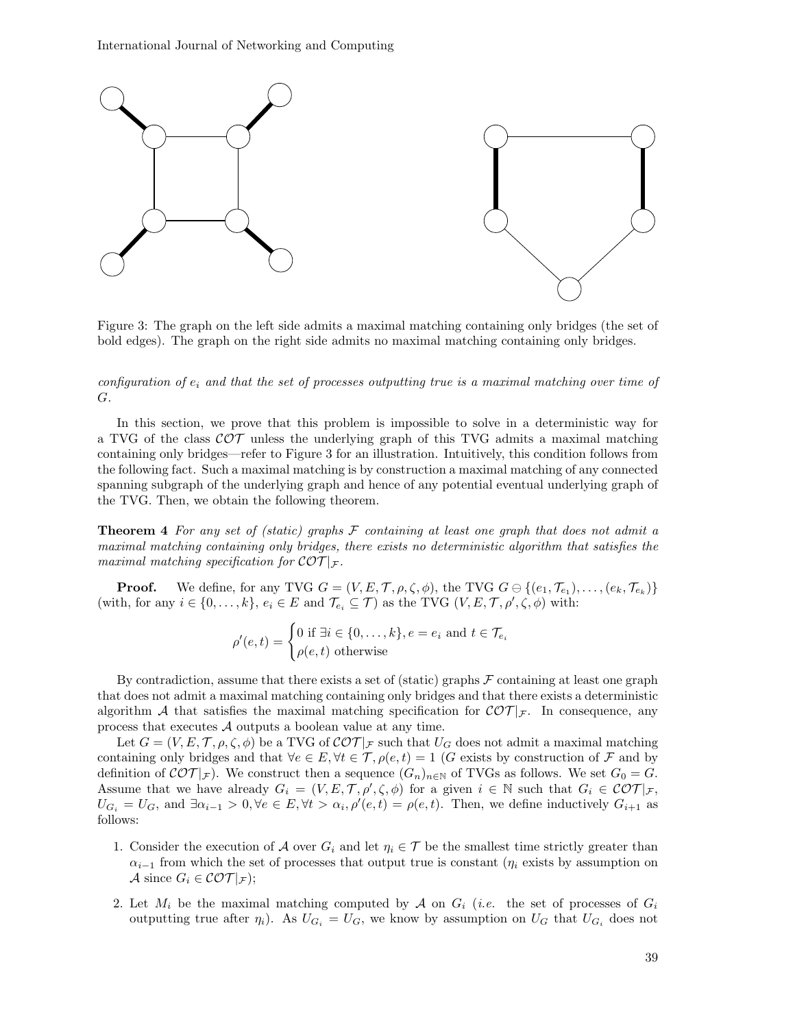

Figure 3: The graph on the left side admits a maximal matching containing only bridges (the set of bold edges). The graph on the right side admits no maximal matching containing only bridges.

configuration of  $e_i$  and that the set of processes outputting true is a maximal matching over time of G.

In this section, we prove that this problem is impossible to solve in a deterministic way for a TVG of the class  $\mathcal{COT}$  unless the underlying graph of this TVG admits a maximal matching containing only bridges—refer to Figure 3 for an illustration. Intuitively, this condition follows from the following fact. Such a maximal matching is by construction a maximal matching of any connected spanning subgraph of the underlying graph and hence of any potential eventual underlying graph of the TVG. Then, we obtain the following theorem.

**Theorem 4** For any set of (static) graphs  $\mathcal F$  containing at least one graph that does not admit a maximal matching containing only bridges, there exists no deterministic algorithm that satisfies the maximal matching specification for  $\mathcal{COT}|_{\mathcal{F}}$ .

**Proof.** We define, for any TVG  $G = (V, E, \mathcal{T}, \rho, \zeta, \phi)$ , the TVG  $G \ominus \{(e_1, \mathcal{T}_{e_1}), \ldots, (e_k, \mathcal{T}_{e_k})\}$ (with, for any  $i \in \{0, \ldots, k\}$ ,  $e_i \in E$  and  $\mathcal{T}_{e_i} \subseteq \mathcal{T}$ ) as the TVG  $(V, E, \mathcal{T}, \rho', \zeta, \phi)$  with:

$$
\rho'(e,t) = \begin{cases} 0 \text{ if } \exists i \in \{0,\ldots,k\}, e = e_i \text{ and } t \in \mathcal{T}_{e_i} \\ \rho(e,t) \text{ otherwise} \end{cases}
$$

By contradiction, assume that there exists a set of (static) graphs  $\mathcal F$  containing at least one graph that does not admit a maximal matching containing only bridges and that there exists a deterministic algorithm A that satisfies the maximal matching specification for  $\mathcal{COT}|_{\mathcal{F}}$ . In consequence, any process that executes A outputs a boolean value at any time.

Let  $G = (V, E, \mathcal{T}, \rho, \zeta, \phi)$  be a TVG of  $\mathcal{COT}|_{\mathcal{F}}$  such that  $U_G$  does not admit a maximal matching containing only bridges and that  $\forall e \in E, \forall t \in \mathcal{T}, \rho(e, t) = 1$  (G exists by construction of F and by definition of  $\mathcal{COT}|_{\mathcal{F}}$ ). We construct then a sequence  $(G_n)_{n\in\mathbb{N}}$  of TVGs as follows. We set  $G_0 = G$ . Assume that we have already  $G_i = (V, E, T, \rho', \zeta, \phi)$  for a given  $i \in \mathbb{N}$  such that  $G_i \in \mathcal{COT}|_{\mathcal{F}},$  $U_{G_i} = U_G$ , and  $\exists \alpha_{i-1} > 0, \forall e \in E, \forall t > \alpha_i, \rho'(e, t) = \rho(e, t)$ . Then, we define inductively  $G_{i+1}$  as follows:

- 1. Consider the execution of A over  $G_i$  and let  $\eta_i \in \mathcal{T}$  be the smallest time strictly greater than  $\alpha_{i-1}$  from which the set of processes that output true is constant ( $\eta_i$  exists by assumption on A since  $G_i \in \mathcal{COT}|_{\mathcal{F}}$ ;
- 2. Let  $M_i$  be the maximal matching computed by A on  $G_i$  (*i.e.* the set of processes of  $G_i$ outputting true after  $\eta_i$ ). As  $U_{G_i} = U_G$ , we know by assumption on  $U_G$  that  $U_{G_i}$  does not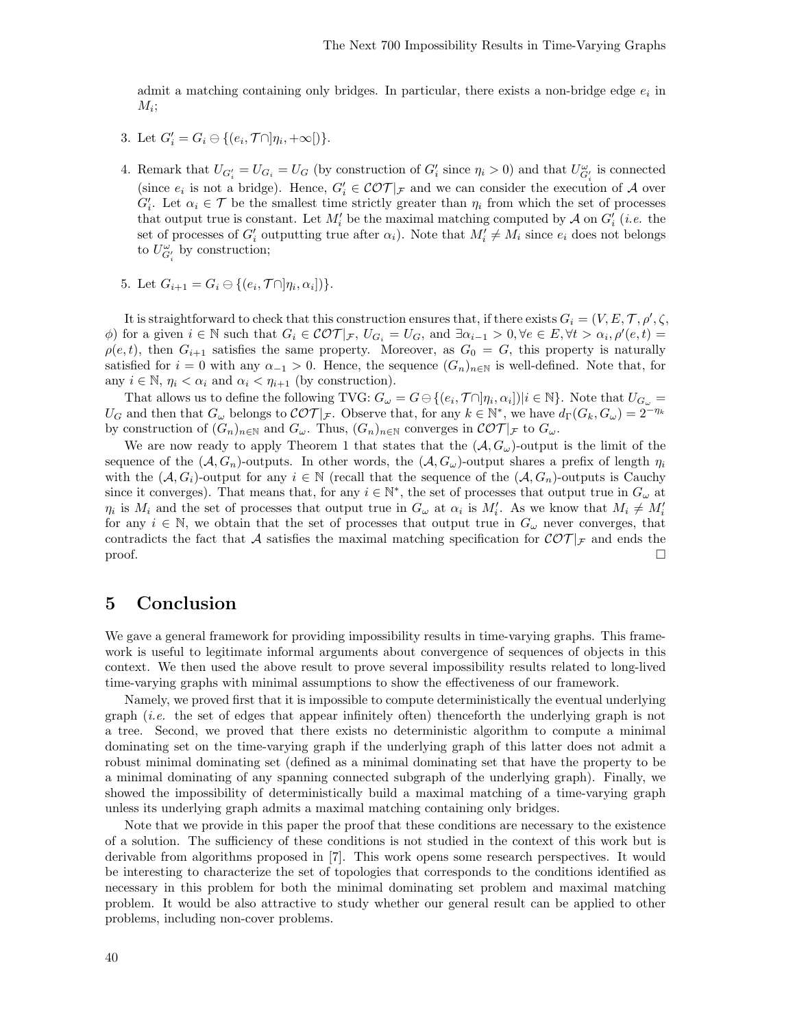admit a matching containing only bridges. In particular, there exists a non-bridge edge  $e_i$  in  $M_i;$ 

- 3. Let  $G'_{i} = G_{i} \ominus \{(e_{i}, \mathcal{T} \cap ]\eta_{i}, +\infty[)\}.$
- 4. Remark that  $U_{G_i'} = U_{G_i} = U_G$  (by construction of  $G_i'$  since  $\eta_i > 0$ ) and that  $U_{G_i'}^{\omega}$  is connected (since  $e_i$  is not a bridge). Hence,  $G'_i \in \mathcal{COT}|_{\mathcal{F}}$  and we can consider the execution of A over  $G_i'$ . Let  $\alpha_i \in \mathcal{T}$  be the smallest time strictly greater than  $\eta_i$  from which the set of processes that output true is constant. Let  $M_i'$  be the maximal matching computed by  $\mathcal A$  on  $G_i'$  (*i.e.* the set of processes of  $G_i'$  outputting true after  $\alpha_i$ ). Note that  $M_i' \neq M_i$  since  $e_i$  does not belongs to  $U^{\omega}_{G_i'}$  by construction;
- 5. Let  $G_{i+1} = G_i \ominus \{(e_i, \mathcal{T} \cap ]\eta_i, \alpha_i]\}.$

It is straightforward to check that this construction ensures that, if there exists  $G_i = (V, E, T, \rho', \zeta,$  $\phi$ ) for a given  $i \in \mathbb{N}$  such that  $G_i \in \mathcal{COT}|_{\mathcal{F}}$ ,  $U_{G_i} = U_G$ , and  $\exists \alpha_{i-1} > 0$ ,  $\forall e \in E$ ,  $\forall t > \alpha_i$ ,  $\rho'(e, t) =$  $\rho(e, t)$ , then  $G_{i+1}$  satisfies the same property. Moreover, as  $G_0 = G$ , this property is naturally satisfied for  $i = 0$  with any  $\alpha_{-1} > 0$ . Hence, the sequence  $(G_n)_{n \in \mathbb{N}}$  is well-defined. Note that, for any  $i \in \mathbb{N}$ ,  $\eta_i < \alpha_i$  and  $\alpha_i < \eta_{i+1}$  (by construction).

That allows us to define the following TVG:  $G_{\omega} = G \ominus \{(e_i, \mathcal{T} \cap ]\eta_i, \alpha_i] \mid i \in \mathbb{N}\}\.$  Note that  $U_{G_{\omega}} =$  $U_G$  and then that  $G_\omega$  belongs to  $\mathcal{COT}|_{\mathcal{F}}$ . Observe that, for any  $k \in \mathbb{N}^*$ , we have  $d_{\Gamma}(G_k, G_\omega) = 2^{-\eta_k}$ by construction of  $(G_n)_{n\in\mathbb{N}}$  and  $G_\omega$ . Thus,  $(G_n)_{n\in\mathbb{N}}$  converges in  $\mathcal{COT}|_{\mathcal{F}}$  to  $G_\omega$ .

We are now ready to apply Theorem 1 that states that the  $(\mathcal{A}, G_{\omega})$ -output is the limit of the sequence of the  $(A, G_n)$ -outputs. In other words, the  $(A, G_\omega)$ -output shares a prefix of length  $\eta_i$ with the  $(A, G_i)$ -output for any  $i \in \mathbb{N}$  (recall that the sequence of the  $(A, G_n)$ -outputs is Cauchy since it converges). That means that, for any  $i \in \mathbb{N}^*$ , the set of processes that output true in  $G_\omega$  at  $\eta_i$  is  $M_i$  and the set of processes that output true in  $G_\omega$  at  $\alpha_i$  is  $M'_i$ . As we know that  $M_i \neq M'_i$ for any  $i \in \mathbb{N}$ , we obtain that the set of processes that output true in  $G_{\omega}$  never converges, that contradicts the fact that A satisfies the maximal matching specification for  $\mathcal{COT}|_{\mathcal{F}}$  and ends the  $\Box$ 

### 5 Conclusion

We gave a general framework for providing impossibility results in time-varying graphs. This framework is useful to legitimate informal arguments about convergence of sequences of objects in this context. We then used the above result to prove several impossibility results related to long-lived time-varying graphs with minimal assumptions to show the effectiveness of our framework.

Namely, we proved first that it is impossible to compute deterministically the eventual underlying graph (i.e. the set of edges that appear infinitely often) thenceforth the underlying graph is not a tree. Second, we proved that there exists no deterministic algorithm to compute a minimal dominating set on the time-varying graph if the underlying graph of this latter does not admit a robust minimal dominating set (defined as a minimal dominating set that have the property to be a minimal dominating of any spanning connected subgraph of the underlying graph). Finally, we showed the impossibility of deterministically build a maximal matching of a time-varying graph unless its underlying graph admits a maximal matching containing only bridges.

Note that we provide in this paper the proof that these conditions are necessary to the existence of a solution. The sufficiency of these conditions is not studied in the context of this work but is derivable from algorithms proposed in [7]. This work opens some research perspectives. It would be interesting to characterize the set of topologies that corresponds to the conditions identified as necessary in this problem for both the minimal dominating set problem and maximal matching problem. It would be also attractive to study whether our general result can be applied to other problems, including non-cover problems.